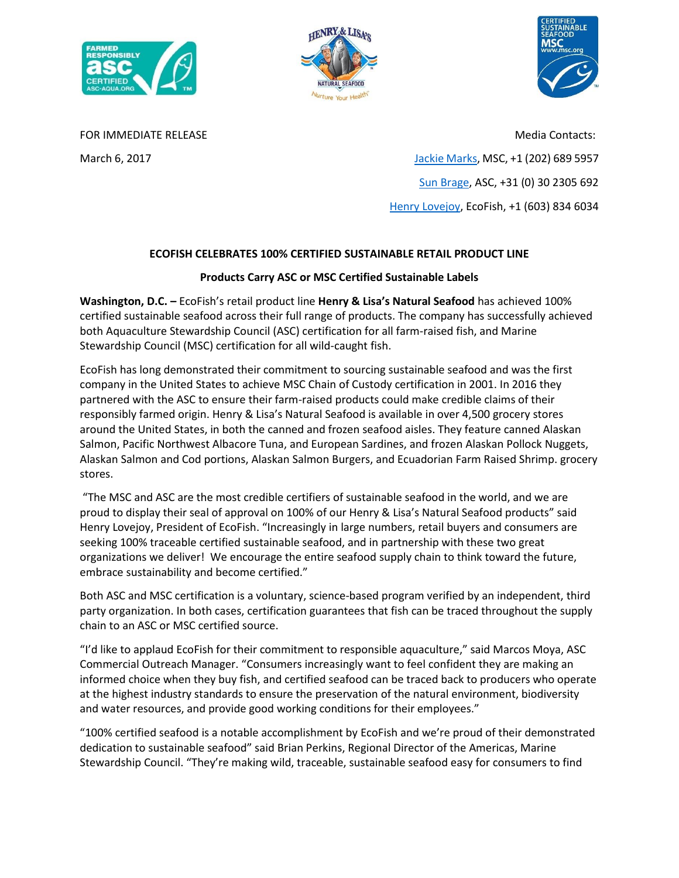





FOR IMMEDIATE RELEASE MEDICINE AND STRUCK AND THE SERIES OF THE SERIES OF THE SERIES OF THE SERIES OF THE SERIES March 6, 2017 [Jackie Marks,](emailto:%20jackie.marks@Msc.org) MSC, +1 (202) 689 5957 [Sun Brage,](Emailto:%20Sun.Brage@asc-aqua.org) ASC, +31 (0) 30 2305 692 [Henry Lovejoy,](emailto:%20henry@ecofish.com) EcoFish, +1 (603) 834 6034

## **ECOFISH CELEBRATES 100% CERTIFIED SUSTAINABLE RETAIL PRODUCT LINE**

# **Products Carry ASC or MSC Certified Sustainable Labels**

**Washington, D.C. –** EcoFish's retail product line **Henry & Lisa's Natural Seafood** has achieved 100% certified sustainable seafood across their full range of products. The company has successfully achieved both Aquaculture Stewardship Council (ASC) certification for all farm-raised fish, and Marine Stewardship Council (MSC) certification for all wild-caught fish.

EcoFish has long demonstrated their commitment to sourcing sustainable seafood and was the first company in the United States to achieve MSC Chain of Custody certification in 2001. In 2016 they partnered with the ASC to ensure their farm-raised products could make credible claims of their responsibly farmed origin. Henry & Lisa's Natural Seafood is available in over 4,500 grocery stores around the United States, in both the canned and frozen seafood aisles. They feature canned Alaskan Salmon, Pacific Northwest Albacore Tuna, and European Sardines, and frozen Alaskan Pollock Nuggets, Alaskan Salmon and Cod portions, Alaskan Salmon Burgers, and Ecuadorian Farm Raised Shrimp. grocery stores.

"The MSC and ASC are the most credible certifiers of sustainable seafood in the world, and we are proud to display their seal of approval on 100% of our Henry & Lisa's Natural Seafood products" said Henry Lovejoy, President of EcoFish. "Increasingly in large numbers, retail buyers and consumers are seeking 100% traceable certified sustainable seafood, and in partnership with these two great organizations we deliver! We encourage the entire seafood supply chain to think toward the future, embrace sustainability and become certified."

Both ASC and MSC certification is a voluntary, science-based program verified by an independent, third party organization. In both cases, certification guarantees that fish can be traced throughout the supply chain to an ASC or MSC certified source.

"I'd like to applaud EcoFish for their commitment to responsible aquaculture," said Marcos Moya, ASC Commercial Outreach Manager. "Consumers increasingly want to feel confident they are making an informed choice when they buy fish, and certified seafood can be traced back to producers who operate at the highest industry standards to ensure the preservation of the natural environment, biodiversity and water resources, and provide good working conditions for their employees."

"100% certified seafood is a notable accomplishment by EcoFish and we're proud of their demonstrated dedication to sustainable seafood" said Brian Perkins, Regional Director of the Americas, Marine Stewardship Council. "They're making wild, traceable, sustainable seafood easy for consumers to find